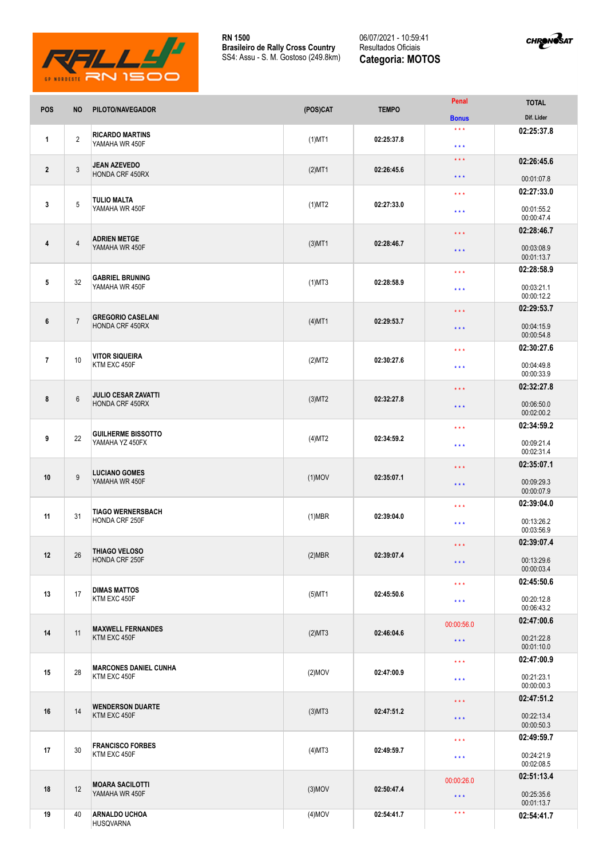

**RN 1500 Brasileiro de Rally Cross Country** SS4: Assu - S. M. Gostoso (249.8km)

06/07/2021 - 10:59:41 Resultados Oficiais **Categoria: MOTOS**



| <b>POS</b>     | <b>NO</b>      | PILOTO/NAVEGADOR                                     | (POS)CAT  | <b>TEMPO</b> | Penal                            | <b>TOTAL</b>             |
|----------------|----------------|------------------------------------------------------|-----------|--------------|----------------------------------|--------------------------|
|                |                |                                                      |           |              | <b>Bonus</b>                     | Dif. Lider               |
| $\mathbf{1}$   | $\overline{2}$ | <b>RICARDO MARTINS</b><br>YAMAHA WR 450F             | $(1)$ MT1 | 02:25:37.8   | $\star$ $\star$ $\star$<br>$***$ | 02:25:37.8               |
|                |                |                                                      |           |              | $\star\star\star$                | 02:26:45.6               |
| $\overline{2}$ | 3              | <b>JEAN AZEVEDO</b><br>HONDA CRF 450RX               | $(2)$ MT1 | 02:26:45.6   | $\star \star \star$              | 00:01:07.8               |
|                |                |                                                      |           | 02:27:33.0   | $\star \star \star$              | 02:27:33.0               |
| 3              | 5              | <b>TULIO MALTA</b><br>YAMAHA WR 450F                 | $(1)$ MT2 |              | $\star$ $\star$ $\star$          | 00:01:55.2<br>00:00:47.4 |
|                |                |                                                      |           | 02:28:46.7   | $\star\star\star$                | 02:28:46.7               |
| 4              | 4              | <b>ADRIEN METGE</b><br>YAMAHA WR 450F                | $(3)$ MT1 |              | $***$                            | 00:03:08.9<br>00:01:13.7 |
|                |                |                                                      |           |              | $\star \star \star$              | 02:28:58.9               |
| 5              | 32             | <b>GABRIEL BRUNING</b><br>YAMAHA WR 450F             | $(1)$ MT3 | 02:28:58.9   | $\star \star \star$              | 00:03:21.1               |
|                |                |                                                      |           |              |                                  | 00:00:12.2<br>02:29:53.7 |
| 6              | $\overline{7}$ | <b>GREGORIO CASELANI</b><br><b>HONDA CRF 450RX</b>   | $(4)$ MT1 | 02:29:53.7   | $***$                            |                          |
|                |                |                                                      |           |              | $***$                            | 00:04:15.9<br>00:00:54.8 |
|                |                |                                                      |           |              | $***$                            | 02:30:27.6               |
| $\overline{7}$ | 10             | <b>VITOR SIQUEIRA</b><br>KTM EXC 450F                | (2)MT2    | 02:30:27.6   | $\star\star\star$                | 00:04:49.8<br>00:00:33.9 |
|                |                | <b>JULIO CESAR ZAVATTI</b><br><b>HONDA CRF 450RX</b> |           |              | $\star\star\star$                | 02:32:27.8               |
| 8              | 6              |                                                      | $(3)$ MT2 | 02:32:27.8   | $***$                            | 00:06:50.0<br>00:02:00.2 |
|                | 22             | <b>GUILHERME BISSOTTO</b><br>YAMAHA YZ 450FX         | (4)MT2    |              | $***$                            | 02:34:59.2               |
| 9              |                |                                                      |           | 02:34:59.2   | $***$                            | 00:09:21.4<br>00:02:31.4 |
|                |                |                                                      |           |              |                                  | 02:35:07.1               |
| 10             | 9              | <b>LUCIANO GOMES</b><br>YAMAHA WR 450F               | $(1)$ MOV | 02:35:07.1   | $\star\star\star$                |                          |
|                |                |                                                      |           |              | $\star\star\star$                | 00:09:29.3<br>00:00:07.9 |
|                |                |                                                      |           | 02:39:04.0   | $\star \star \star$              | 02:39:04.0               |
| 11             | 31             | <b>TIAGO WERNERSBACH</b><br>HONDA CRF 250F           | $(1)$ MBR |              | $***$                            | 00:13:26.2<br>00:03:56.9 |
| 12             | 26             | <b>THIAGO VELOSO</b><br>HONDA CRF 250F               | (2)MBR    | 02:39:07.4   | $\star \star \star$              | 02:39:07.4               |
|                |                |                                                      |           |              | $\star\star\star$                | 00:13:29.6               |
|                |                |                                                      |           |              |                                  | 00:00:03.4               |
|                | 17             | <b>DIMAS MATTOS</b><br>KTM EXC 450F                  | $(5)$ MT1 | 02:45:50.6   | $\star\star\star$                | 02:45:50.6               |
| 13             |                |                                                      |           |              | $\star\star\star$                | 00:20:12.8<br>00:06:43.2 |
| 14             | 11             | <b>MAXWELL FERNANDES</b><br>KTM EXC 450F             | (2)MT3    | 02:46:04.6   | 00:00:56.0                       | 02:47:00.6               |
|                |                |                                                      |           |              | $\star\star\star$                | 00:21:22.8<br>00:01:10.0 |
|                | 28             | <b>MARCONES DANIEL CUNHA</b><br>KTM EXC 450F         | $(2)$ MOV | 02:47:00.9   | $\star$ $\star$ $\star$          | 02:47:00.9               |
| 15             |                |                                                      |           |              | $\star\star\star$                | 00:21:23.1<br>00:00:00.3 |
|                | 14             | <b>WENDERSON DUARTE</b><br>KTM EXC 450F              | $(3)$ MT3 | 02:47:51.2   | $\star \star \star$              | 02:47:51.2               |
| 16             |                |                                                      |           |              |                                  | 00:22:13.4               |
|                |                |                                                      |           |              | $\star\star\star$                | 00:00:50.3               |
| 17             | 30             | <b>FRANCISCO FORBES</b><br>KTM EXC 450F              | $(4)$ MT3 | 02:49:59.7   | $\star\star\star$                | 02:49:59.7               |
|                |                |                                                      |           |              | $\star\star\star$                | 00:24:21.9<br>00:02:08.5 |
|                |                | <b>MOARA SACILOTTI</b><br>YAMAHA WR 450F             | $(3)$ MOV | 02:50:47.4   | 00:00:26.0                       | 02:51:13.4               |
| 18             | 12             |                                                      |           |              | $\star\star\star$                | 00:25:35.6<br>00:01:13.7 |
| 19             | 40             | <b>ARNALDO UCHOA</b><br><b>HUSQVARNA</b>             | $(4)$ MOV | 02:54:41.7   | $\star\star\star$                | 02:54:41.7               |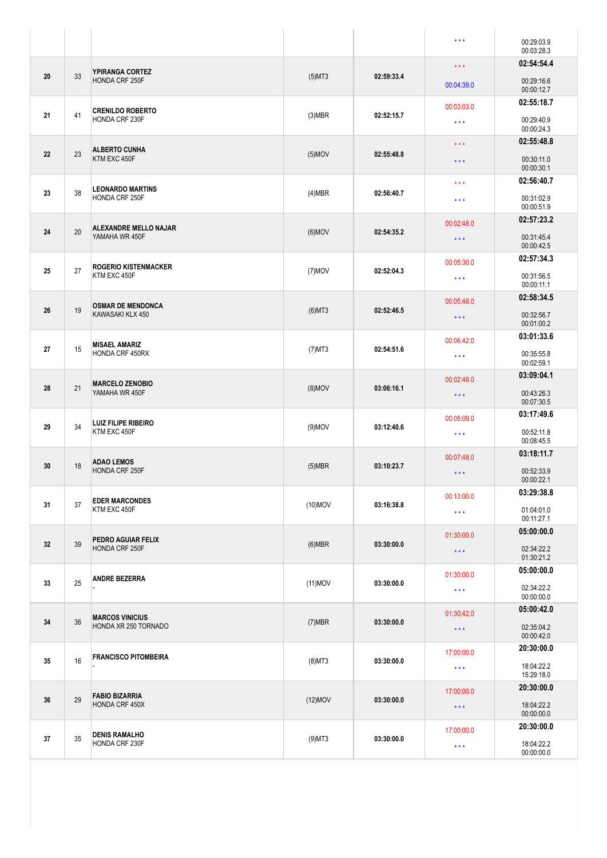|    |    |                                                |            |            | $\star \star \star$               | 00:29:03.9<br>00:03:28.3               |
|----|----|------------------------------------------------|------------|------------|-----------------------------------|----------------------------------------|
| 20 | 33 | <b>YPIRANGA CORTEZ</b><br>HONDA CRF 250F       | $(5)$ MT3  | 02:59:33.4 | $\star\star\star$<br>00:04:39.0   | 02:54:54.4<br>00:29:16.6               |
| 21 | 41 | <b>CRENILDO ROBERTO</b><br>HONDA CRF 230F      | $(3)$ MBR  | 02:52:15.7 | 00:03:03.0<br>$\star \star \star$ | 00:00:12.7<br>02:55:18.7<br>00:29:40.9 |
| 22 | 23 | <b>ALBERTO CUNHA</b>                           | $(5)$ MOV  | 02:55:48.8 | $\star\star\star$                 | 00:00:24.3<br>02:55:48.8               |
|    |    | KTM EXC 450F                                   |            |            | $***$<br>$\star\star\star$        | 00:30:11.0<br>00:00:30.1<br>02:56:40.7 |
| 23 | 38 | <b>LEONARDO MARTINS</b><br>HONDA CRF 250F      | (4)MBR     | 02:56:40.7 | $\star\star\star$                 | 00:31:02.9<br>00:00:51.9               |
| 24 | 20 | <b>ALEXANDRE MELLO NAJAR</b><br>YAMAHA WR 450F | $(6)$ MOV  | 02:54:35.2 | 00:02:48.0<br>$\star\star\star$   | 02:57:23.2<br>00:31:45.4<br>00:00:42.5 |
| 25 | 27 | <b>ROGERIO KISTENMACKER</b><br>KTM EXC 450F    | $(7)$ MOV  | 02:52:04.3 | 00:05:30.0<br>$\star\star\star$   | 02:57:34.3<br>00:31:56.5               |
| 26 | 19 | <b>OSMAR DE MENDONCA</b><br>KAWASAKI KLX 450   | $(6)$ MT3  | 02:52:46.5 | 00:05:48.0<br>$\star\star\star$   | 00:00:11.1<br>02:58:34.5<br>00:32:56.7 |
|    |    |                                                |            |            | 00:06:42.0                        | 00:01:00.2<br>03:01:33.6               |
| 27 | 15 | <b>MISAEL AMARIZ</b><br><b>HONDA CRF 450RX</b> | $(7)$ MT3  | 02:54:51.6 | $\star \star \star$               | 00:35:55.8<br>00:02:59.1               |
| 28 | 21 | <b>MARCELO ZENOBIO</b><br>YAMAHA WR 450F       | $(8)$ MOV  | 03:06:16.1 | 00:02:48.0<br>$\star\star\star$   | 03:09:04.1<br>00:43:26.3<br>00:07:30.5 |
| 29 | 34 | <b>LUIZ FILIPE RIBEIRO</b><br>KTM EXC 450F     | $(9)$ MOV  | 03:12:40.6 | 00:05:09.0<br>$\star\star\star$   | 03:17:49.6<br>00:52:11.8               |
|    |    |                                                |            |            | 00:07:48.0                        | 00:08:45.5<br>03:18:11.7               |
| 30 | 18 | <b>ADAO LEMOS</b><br>HONDA CRF 250F            | $(5)$ MBR  | 03:10:23.7 | $\star\star\star$                 | 00:52:33.9<br>00:00:22.1               |
| 31 | 37 | <b>EDER MARCONDES</b><br>KTM EXC 450F          | $(10)$ MOV | 03:16:38.8 | 00:13:00.0<br>$\star\star\star$   | 03:29:38.8<br>01:04:01.0<br>00:11:27.1 |
| 32 | 39 | PEDRO AGUIAR FELIX<br>HONDA CRF 250F           | $(6)$ MBR  | 03:30:00.0 | 01:30:00.0<br>$\star\star\star$   | 05:00:00.0<br>02:34:22.2<br>01:30:21.2 |
| 33 | 25 | <b>ANDRE BEZERRA</b>                           | $(11)$ MOV | 03:30:00.0 | 01:30:00.0<br>$\star\star\star$   | 05:00:00.0<br>02:34:22.2               |
|    | 36 | <b>MARCOS VINICIUS</b><br>HONDA XR 250 TORNADO | $(7)$ MBR  | 03:30:00.0 | 01:30:42.0                        | 00:00:00.0<br>05:00:42.0               |
| 34 |    |                                                |            |            | $\star\star\star$                 | 02:35:04.2<br>00:00:42.0               |
| 35 | 16 | <b>FRANCISCO PITOMBEIRA</b>                    | $(8)$ MT3  | 03:30:00.0 | 17:00:00.0<br>$\star\star\star$   | 20:30:00.0<br>18:04:22.2<br>15:29:18.0 |
| 36 | 29 | <b>FABIO BIZARRIA</b><br>HONDA CRF 450X        | $(12)$ MOV | 03:30:00.0 | 17:00:00.0<br>$\star\star\star$   | 20:30:00.0<br>18:04:22.2<br>00:00:00.0 |
| 37 | 35 | <b>DENIS RAMALHO</b><br>HONDA CRF 230F         | $(9)$ MT3  | 03:30:00.0 | 17:00:00.0                        | 20:30:00.0<br>18:04:22.2               |
|    |    |                                                |            |            | $\star\star\star$                 | 00:00:00.0                             |